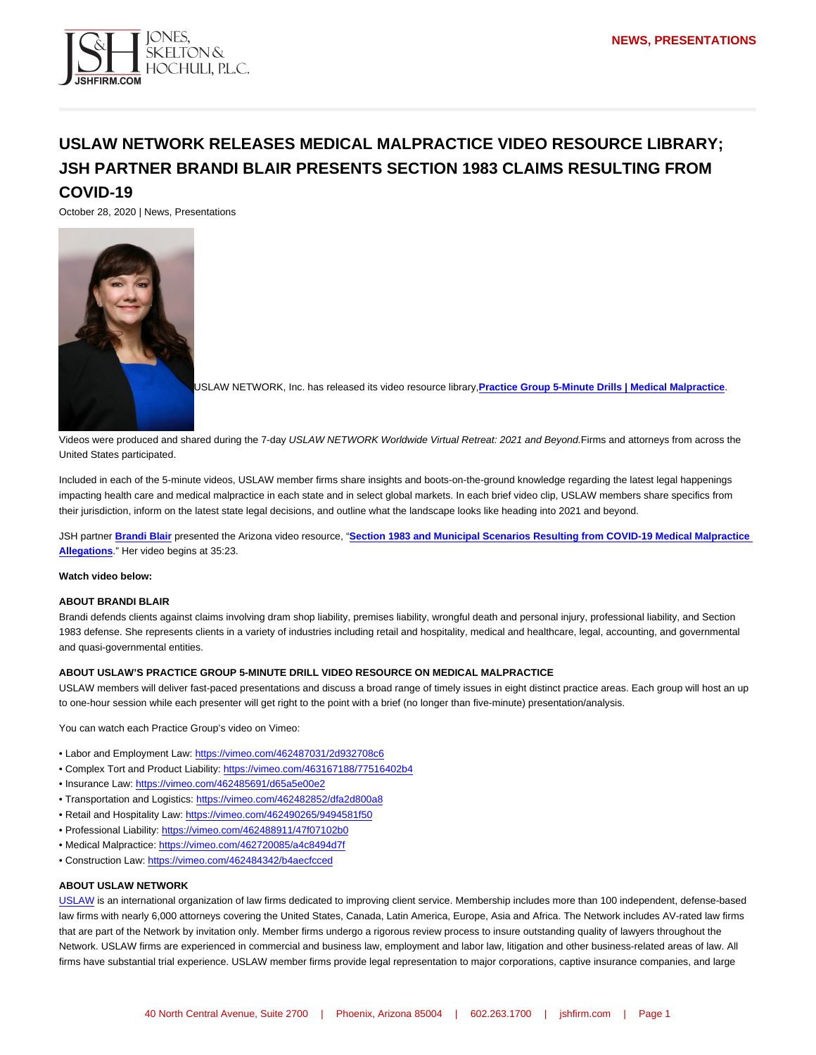## USLAW NETWORK RELEASES MEDICAL MALPRACTICE VIDEO RESOURCE LIBRARY; JSH PARTNER BRANDI BLAIR PRESENTS SECTION 1983 CLAIMS RESULTING FROM COVID-19

October 28, 2020 | News, Presentations

USLAW NETWORK, Inc. has released its video resource library, Practice Group 5-Minute Drills | Medical Malpractice

Videos were produced and shared during the 7-day USLAW NETWORK Worldwide Virtual Retreat: 2021 and Beyond.Firms and attorneys from across the United States participated.

Included in each of the 5-minute videos, USLAW member firms share insights and boots-on-the-ground knowledge regarding the latest legal happenings impacting health care and medical malpractice in each state and in select global markets. In each brief video clip, USLAW members share specifics from their jurisdiction, inform on the latest state legal decisions, and outline what the landscape looks like heading into 2021 and beyond.

JSH partner [Brandi Blair](https://www.jshfirm.com/professionals/bblair/) presented the Arizona video resource, "Section 1983 and Municipal Scenarios Resulting from COVID-19 Medical Malpractice [Allegations](https://vimeo.com/462720085/a4c8494d7f) ." Her video begins at 35:23.

Watch video below:

## ABOUT BRANDI BLAIR

Brandi defends clients against claims involving dram shop liability, premises liability, wrongful death and personal injury, professional liability, and Section 1983 defense. She represents clients in a variety of industries including retail and hospitality, medical and healthcare, legal, accounting, and governmental and quasi-governmental entities.

## ABOUT USLAW'S PRACTICE GROUP 5-MINUTE DRILL VIDEO RESOURCE ON MEDICAL MALPRACTICE

USLAW members will deliver fast-paced presentations and discuss a broad range of timely issues in eight distinct practice areas. Each group will host an up to one-hour session while each presenter will get right to the point with a brief (no longer than five-minute) presentation/analysis.

You can watch each Practice Group's video on Vimeo:

- Labor and Employment Law: <https://vimeo.com/462487031/2d932708c6>
- Complex Tort and Product Liability: <https://vimeo.com/463167188/77516402b4>
- Insurance Law: <https://vimeo.com/462485691/d65a5e00e2>
- Transportation and Logistics:<https://vimeo.com/462482852/dfa2d800a8>
- Retail and Hospitality Law:<https://vimeo.com/462490265/9494581f50>
- Professional Liability: <https://vimeo.com/462488911/47f07102b0>
- Medical Malpractice:<https://vimeo.com/462720085/a4c8494d7f>
- Construction Law:<https://vimeo.com/462484342/b4aecfcced>

## ABOUT USLAW NETWORK

[USLAW](https://web.uslaw.org/) is an international organization of law firms dedicated to improving client service. Membership includes more than 100 independent, defense-based law firms with nearly 6,000 attorneys covering the United States, Canada, Latin America, Europe, Asia and Africa. The Network includes AV-rated law firms that are part of the Network by invitation only. Member firms undergo a rigorous review process to insure outstanding quality of lawyers throughout the Network. USLAW firms are experienced in commercial and business law, employment and labor law, litigation and other business-related areas of law. All firms have substantial trial experience. USLAW member firms provide legal representation to major corporations, captive insurance companies, and large